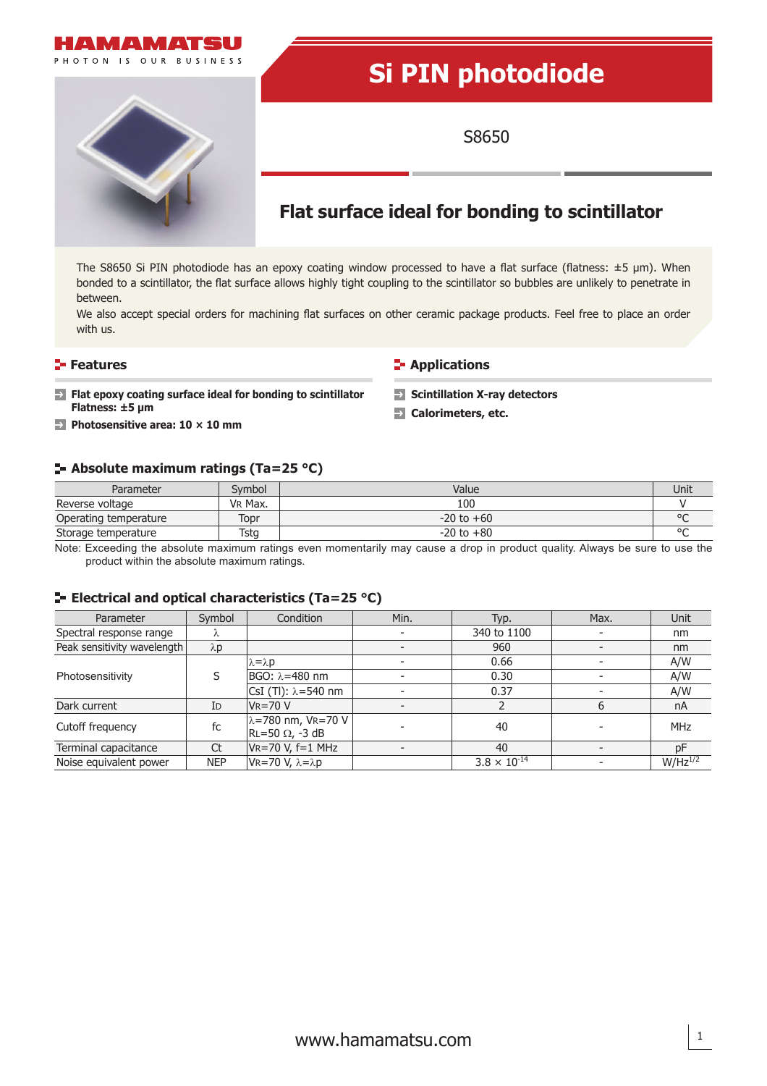

# **Si PIN photodiode**

S8650



# **Flat surface ideal for bonding to scintillator**

The S8650 Si PIN photodiode has an epoxy coating window processed to have a flat surface (flatness:  $\pm$ 5 µm). When bonded to a scintillator, the flat surface allows highly tight coupling to the scintillator so bubbles are unlikely to penetrate in between.

We also accept special orders for machining flat surfaces on other ceramic package products. Feel free to place an order with us.

**Features CONSIDERING INCREDICT IN THE EXAMPLE THE EXAMPLE THE EXAMPLE THE EXAMPLE THE EXAMPLE THE EXAMPLE THE EXAMPLE THE EXAMPLE THE EXAMPLE THE EXAMPLE THE EXAMPLE THE EXAMPLE THE EXAMPLE THE EXAMPLE THE EXAMPLE THE E** 

- **Figure 1** Flat epoxy coating surface ideal for bonding to scintillator **Solution** X-ray detectors **Flatness: ±5 μ<sup>m</sup> Calorimeters, etc.**
- **Photosensitive area: 10 × 10 mm**

#### **Absolute maximum ratings (Ta=25 °C)**

| Parameter             | Svmbol  | Value          | Unit |
|-----------------------|---------|----------------|------|
| Reverse voltage       | VR Max. | 100            |      |
| Operating temperature | Topr    | $-20$ to $+60$ |      |
| Storage temperature   | Tstg    | $-20$ to $+80$ |      |

Note: Exceeding the absolute maximum ratings even momentarily may cause a drop in product quality. Always be sure to use the product within the absolute maximum ratings.

#### **E** Electrical and optical characteristics (Ta=25 °C)

| Parameter                   | Symbol      | Condition                                                                          | Min. | Typ.                  | Max. | <b>Unit</b>  |
|-----------------------------|-------------|------------------------------------------------------------------------------------|------|-----------------------|------|--------------|
| Spectral response range     | λ           |                                                                                    |      | 340 to 1100           |      | nm           |
| Peak sensitivity wavelength | $\lambda p$ |                                                                                    |      | 960                   |      | nm           |
| Photosensitivity            | S           | $\lambda = \lambda p$                                                              |      | 0.66                  |      | A/W          |
|                             |             | IBGO: λ=480 nm                                                                     |      | 0.30                  |      | A/W          |
|                             |             | CsI (TI): $\lambda$ =540 nm                                                        |      | 0.37                  |      | A/W          |
| Dark current                | ID          | $V = 70 V$                                                                         |      |                       | 6    | nA           |
| Cutoff frequency            | fc          | $ \lambda = 780 \text{ nm}, \text{ VR} = 70 \text{ V}$<br>$RL = 50 \Omega$ , -3 dB |      | 40                    |      | <b>MHz</b>   |
| Terminal capacitance        | <b>Ct</b>   | $V = 70 V, f = 1 MHz$                                                              |      | 40                    |      | pF           |
| Noise equivalent power      | <b>NEP</b>  | VR=70 V, λ=λp                                                                      |      | $3.8 \times 10^{-14}$ |      | $W/Hz^{1/2}$ |

1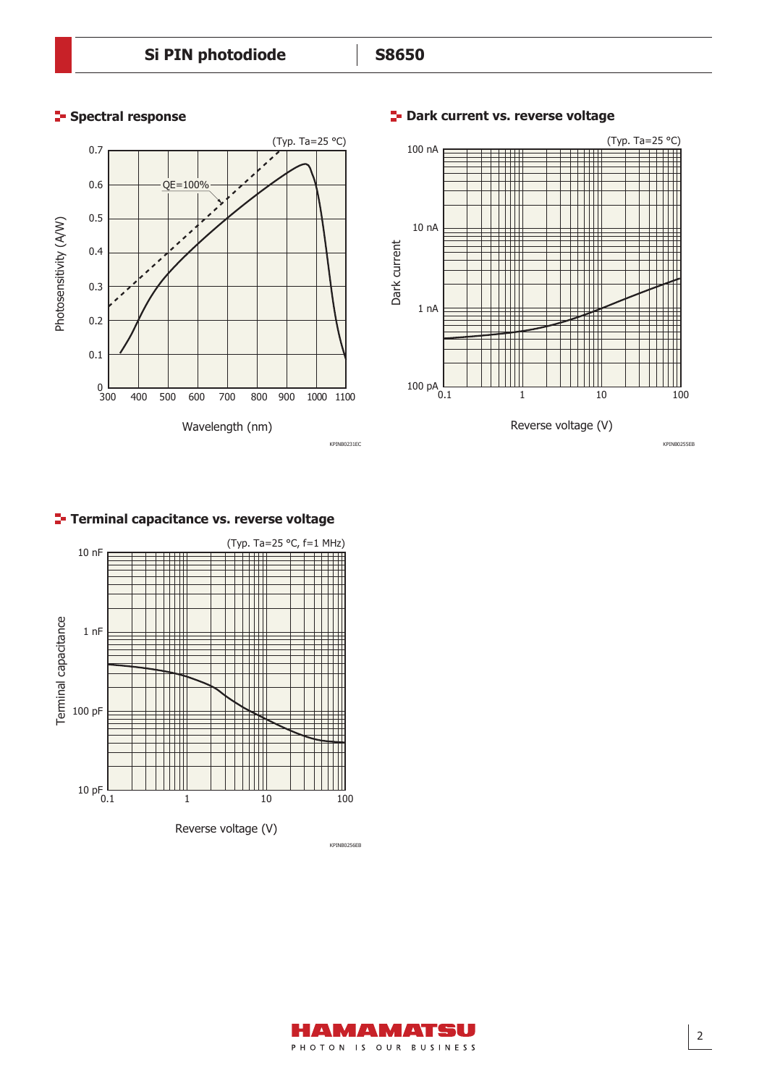#### **F** Spectral response **Dark current vs. reverse voltage**



100 nA  $\sim$  (Typ. Ta=25 °C) НĦ THE  $\mathbf{H}$ Ш 10 nA



### **Terminal capacitance vs. reverse voltage**